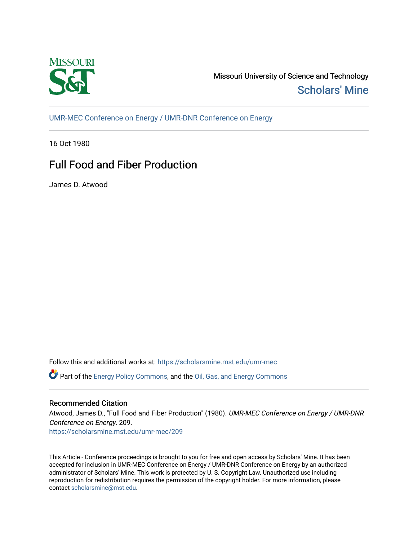

Missouri University of Science and Technology [Scholars' Mine](https://scholarsmine.mst.edu/) 

[UMR-MEC Conference on Energy / UMR-DNR Conference on Energy](https://scholarsmine.mst.edu/umr-mec)

16 Oct 1980

## Full Food and Fiber Production

James D. Atwood

Follow this and additional works at: [https://scholarsmine.mst.edu/umr-mec](https://scholarsmine.mst.edu/umr-mec?utm_source=scholarsmine.mst.edu%2Fumr-mec%2F209&utm_medium=PDF&utm_campaign=PDFCoverPages) 

Part of the [Energy Policy Commons](http://network.bepress.com/hgg/discipline/1065?utm_source=scholarsmine.mst.edu%2Fumr-mec%2F209&utm_medium=PDF&utm_campaign=PDFCoverPages), and the [Oil, Gas, and Energy Commons](http://network.bepress.com/hgg/discipline/171?utm_source=scholarsmine.mst.edu%2Fumr-mec%2F209&utm_medium=PDF&utm_campaign=PDFCoverPages)

## Recommended Citation

Atwood, James D., "Full Food and Fiber Production" (1980). UMR-MEC Conference on Energy / UMR-DNR Conference on Energy. 209.

[https://scholarsmine.mst.edu/umr-mec/209](https://scholarsmine.mst.edu/umr-mec/209?utm_source=scholarsmine.mst.edu%2Fumr-mec%2F209&utm_medium=PDF&utm_campaign=PDFCoverPages) 

This Article - Conference proceedings is brought to you for free and open access by Scholars' Mine. It has been accepted for inclusion in UMR-MEC Conference on Energy / UMR-DNR Conference on Energy by an authorized administrator of Scholars' Mine. This work is protected by U. S. Copyright Law. Unauthorized use including reproduction for redistribution requires the permission of the copyright holder. For more information, please contact [scholarsmine@mst.edu](mailto:scholarsmine@mst.edu).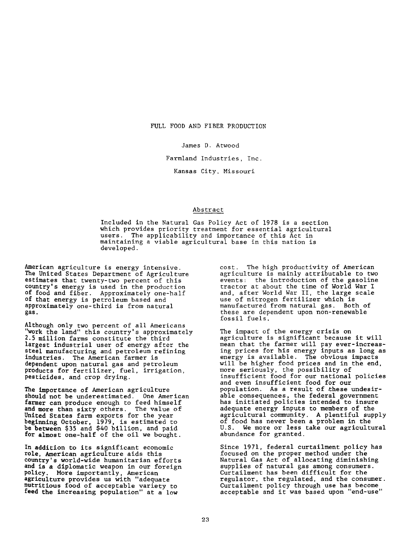**FULL FOOD AND FIBER PRODUCTION**

**James D. Atwood**

**Farmland Industries, Inc.**

**Kansas City, Missouri**

## **Abstract**

**Included in the Natural Gas Policy Act of 1978 is a section which provides priority treatment for essential agricultural users. The applicability and importance of this Act in maintaining a viable agricultural base in this nation is developed.**

**American agriculture is energy intensive. The United States Department of Agriculture estimates that twenty-two percent of this country's energy is used in the production of food and fiber. Approximately one-half of that energy is petroleum based and approximately one-third is from natural gas.**

**Although only two percent of all Americans "work the land" this country's approximately 2.5 million farms constitute the third largest industrial user of energy after the steel manufacturing and petroleum refining industries. The American farmer is dependent upon natural gas and petroleum products for fertilizer, fuel, irrigation, pesticides, and crop drying.**

**The importance of American agriculture should not be underestimated. One American farmer can produce enough to feed himself and more than sixty others. The value of United States farm exports for the year beginning October, 1979, is estimated to be between \$35 and \$40 billion, and paid for almost one-half of the oil we bought.**

**In addition to its significant economic role, American agriculture aids this country's world-wide humanitarian efforts and is a diplomatic weapon in our foreign policy. More importantly, American agriculture provides us with "adequate nutritious food of acceptable variety to feed the increasing population" at a low**

**cost. The high productivity of American agriculture is mainly attributable to two events: the introduction of the gasoline tractor at about the time of World War I and, after World War II, the large scale use of nitrogen fertilizer which is manufactured from natural gas. Both of these are dependent upon non-renewable fossil fuels.**

**The impact of the energy crisis on agriculture is significant because it will mean that the farmer will pay ever-increasing prices for his energy inputs as long as energy is available. The obvious impacts will be higher food prices and in the end, more seriously, the possibility of insufficient food for our national policies and even insufficient food for our population. As a result of .these undesirable consequences, the federal government has initiated policies intended to insure adequate energy inputs to members of the agricultural community. A plentiful supply of food has never been a problem in the U.S. We more or less take our agricultural abundance for granted.**

**Since 1971, federal curtailment policy has focused on the proper method under the Natural Gas Act of allocating diminishing supplies of natural gas among consumers. Curtailment has been difficult for the regulator, the regulated, and the consumer. Curtailment policy through use has become acceptable and it was based upon "end-use"**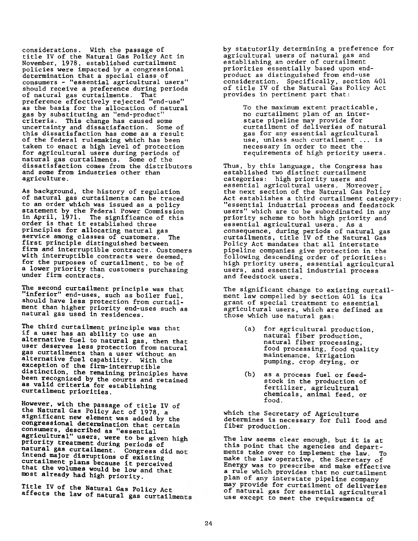**considerations. With the passage of title IV of the Natural Gas Policy Act in November, 1978, established curtailment policies were impacted by a congressional determination that a special class of consumers - "essential agricultural users" should receive a preference during periods of natural gas curtailments. That preference effectively rejected "end-use" as the basis for the allocation of natural gas by substituting an "end-product" criteria. This change has caused some uncertainty and dissatisfaction. Some of this dissatisfaction has come as a result of the federal rulemaking which has been taken to enact a high level of protection for agricultural users during periods of natural gas curtailments. Some of the dissatisfaction comes from the distributors and some from industries other than agriculture.**

**As background, the history of regulation of natural gas curtailments can be traced to an order which was issued as a policy statement by the Federal Power Commission in April, 1971. The significance of this order is that it established three principles for allocating natural gas service among classes of customers. The first principle distinguished between firm and interruptible contracts. Customers with interruptible contracts were deemed, for the purposes of curtailment, to be of a lower priority than customers purchasing under firm contracts.**

**The second curtailment principle was that "inferior" end-uses, such as boiler fuel, should have less protection from curtailment than higher priority end-uses such as natural gas used in residences.**

The third curtailment principle was that **if a user has an ability to use an alternative fuel to natural gas, then that user deserves less protection from natural gas curtailments than a user without an alternative fuel capability. With the exception of the firm-interruptible distinction, the remaining principles have been recognized by the courts and retained as valid criteria for establishing curtailment priorities.**

**However, with the passage of title IV of the Natural Gas Policy Act of 1978, a ®icant new element was added by the congressional determination that certain consumers, described as "essential agricultural" users, were to be given higl priority treatment during periods of natural gas curtailment. Congress did nol intend major disruptions of existing curtailment plans because it perceived that the volumes would be low and that most already had high priority.**

Title IV of the Natural Gas Policy Act **affects the law of natural gas curtailmeni** **by statutorily determining a preference for agricultural users of natural gas and establishing an order of curtailment priorities essentially based upon endproduct as distinguished from end-use consideration. Specifically, section 401 of title IV of the Natural Gas Policy Act provides in pertinent part that:**

> **To the maximum extent practicable, no curtailment plan of an interstate pipeline may provide for curtailment of deliveries of natural gas for any essential agricultural use, unless such curtailment ... is necessary in order to meet the requirements of high priority users.**

**Thus, by this language, the Congress has established two distinct curtailment categories: high priority users and essential agricultural users. Moreover, the next section of the Natural Gas Policy Act establishes a third curtailment category: "essential industrial process and feedstock users" which are to be subordinated in any priority scheme to both high priority and essential agricultural users. As a consequence, during periods of natural gas curtailments, title IV of the Natural Gas Policy Act mandates that all interstate pipeline companies give protection in the following descending order of priorities: high priority users, essential agricultural users, and essential industrial process and feedstock users.**

**The significant change to existing curtailment law compelled by section 401 is its grant of special treatment to essential agricultural users, which are defined as those which use natural gas:**

- **(a) for agricultural production, natural fiber production, natural fiber processing, food processing, food quality maintenance, irrigation pumping, crop drying, or**
- **(b) as a process fuel or feedstock in the production of fertilizer, agricultural chemicals, animal feed, or food.**

**which the Secretary of Agriculture determines is necessary for full food and fiber production.**

**The law seems clear enough, but it is at this point that the agencies and departments take over to implement the law. To make the law operative, the Secretary of Energy was to prescribe and make effective a rule which provides that no curtailment plan of any interstate pipeline company may provide for curtailment of deliveries of natural gas for essential agricultural use except to meet the requirements of**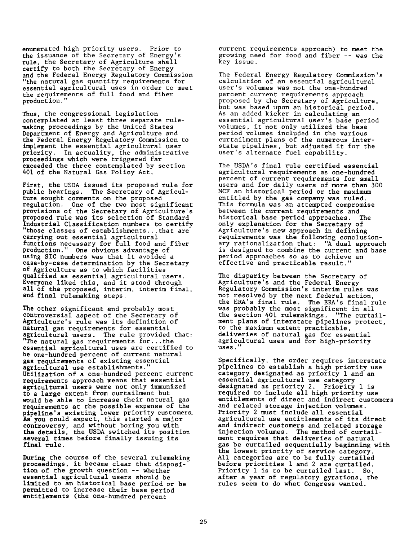**enumerated high priority users. Prior to the issuance of the Secretary of Energy's rule, the Secretary of Agriculture shall certify to both the Secretary of Energy and the Federal Energy Regulatory Commission "the natural gas quantity requirements for essential agricultural uses in order to meet the requirements of full food and fiber production."**

**Thus, the congressional legislation contemplated at least three separate rulemaking proceedings by the United States Department of Energy and Agriculture and the Federal Energy Regulatory Commission to implement the essential agricultural user priority. In actuality, the administrative proceedings which were triggered far exceeded the three contemplated by section 401 of the Natural Gas Policy Act.**

**First, the USDA issued its proposed rule for public hearings. The Secretary of Agriculture sought comments on the proposed regulation. One of the two most significant provisions of the Secretary of Agriculture's proposed rule was its selection of Standard Industrial Classification numbers to certify "those classes of establishments... that are carrying out essential agricultural functions necessary for full food and fiber production." One obvious advantage of using SIC numbers was that it avoided a case-by-case determination by the Secretary of Agriculture as to which facilities qualified as essential agricultural users. Everyone liked this, and it stood through all of the proposed, interim, interim final, and final rulemaking steps.**

**The other significant and probably most controversial aspect of the Secretary of Agriculture's rule was its definition of natural gas requirements for essential agricultural users. The rule provided that: "The natural gas requirements for...the essential agricultural uses are certified to be one-hundred percent of current natural gas requirements of existing essential agricultural use establishments." Utilization of a one-hundred percent current requirements approach means that essential agricultural users were not only immunized to a large extent from curtailment but would be able to increase their natural gas requirements at the possible expense of the pipeline's existing lower priority customers. As you could expect, this started a major controversy, and without boring you with the details, the USDA switched its position several times before finally issuing its final rule.**

**During the course of the several rulemaking proceedings, it became clear that disposition of the growth question -- whether essential agricultural users should be limited to an historical base period or be permitted to increase their base period entitlements (the one-hundred percent**

**current requirements approach) to meet the growing need for food and fiber -- was the key issue.**

**The Federal Energy Regulatory Commission's calculation of an essential agricultural user's volumes was not the one-hundred percent current requirements approach proposed by the Secretary of Agriculture, but was based upon an historical period. As an added kicker in calculating an essential agricultural user's base period volumes, it not only utilized the base period volumes included in the various curtailment plans of the numerous interstate pipelines, but adjusted it for the user's alternate fuel capability.**

**The USDA's final rule certified essential agricultural requirements as one-hundred percent of current requirements for small users and for daily users of more than 300 MCF an historical period or the maximum entitled by the gas company was ruled. This formula was an attempted compromise between the current requirements and historical base period approaches. The only explanation for the Secretary of Agriculture's new approach in defining requirements was the following conclusionary rationalization that: "A dual approach is designed to combine the current and base period approaches so as to achieve an effective and practicable result."**

**The disparity between the Secretary of Agriculture's and the Federal Energy Regulatory Commission's interim rules was not resolved by the next federal action, the ERA's final rule. The ERA's final rule was probably the most significant in all the section 401 rulemakings. "The curtailment plans of interstate pipelines protect, to the maximum extent practicable, deliveries of natural gas for essential agricultural uses and for high-priority uses."**

**Specifically, the order requires interstate pipelines to establish a high priority use category designated as priority 1 and an essential agricultural use category designated as priority 2. Priority 1 is required to include all high priority use entitlements of direct and indirect customers and related storage injection volumes. Priority 2 must include all essential agricultural use entitlements of its direct and indirect customers and related storage injection volumes. The method of curtailment requires that deliveries of natural gas be curtailed sequentially beginning with the lowest priority of service category. All categories are to be fully curtailed before priorities 1 and 2 are curtailed. Priority 1 is to be curtailed last. So, after a year of regulatory gyrations, the rules seem to do what Congress wanted.**